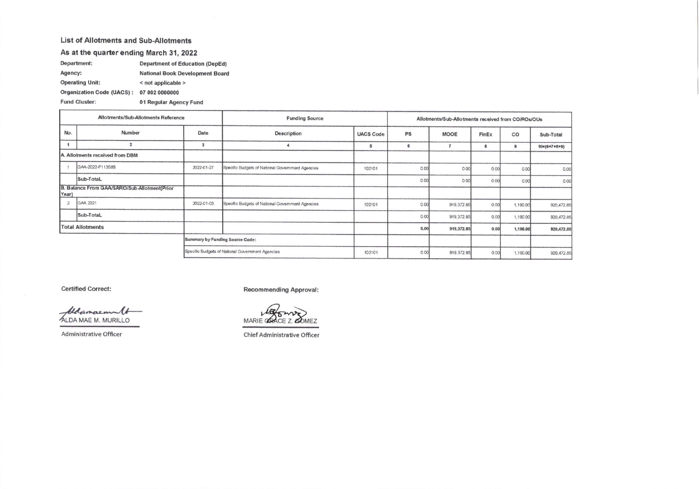## List of Allotments and Sub-Allotments

## As at the quarter ending March 31, 2022

| Department:                      | <b>Department of Education (DepEd)</b> |
|----------------------------------|----------------------------------------|
| Agency:                          | <b>National Book Development Board</b> |
| <b>Operating Unit:</b>           | < not applicable >                     |
| <b>Organization Code (UACS):</b> | 07 002 0000000                         |
| <b>Fund Cluster:</b>             | 01 Regular Agency Fund                 |

| Allotments/Sub-Allotments Reference                   |                  |                                 | <b>Funding Source</b>                            | Allotments/Sub-Allotments received from CO/ROs/OUs |      |             |       |          |                        |
|-------------------------------------------------------|------------------|---------------------------------|--------------------------------------------------|----------------------------------------------------|------|-------------|-------|----------|------------------------|
| No.                                                   | Number           | Date                            | Description                                      | <b>UACS Code</b>                                   | PS   | <b>MOOE</b> | FinEx | CO       | Sub-Total              |
|                                                       | $\overline{2}$   | $\overline{\mathbf{3}}$         |                                                  | э                                                  | 6    |             | 8     | 9        | $10 = (6 + 7 + 8 + 9)$ |
| A. Allotments received from DBM                       |                  |                                 |                                                  |                                                    |      |             |       |          |                        |
|                                                       | GAA-2022-F11358B | 2022-01-27                      | Specific Budgets of National Government Agencies | 102101                                             | 0.00 | 0.00        | 0.00  | 0.00     | 0.00                   |
|                                                       | Sub-TotaL        |                                 |                                                  |                                                    | 0.00 | 0.00        | 0.00  | 0.00     | 0.00                   |
| B. Balance From GAA/SARO/Sub-Allotment(Prior<br>Year) |                  |                                 |                                                  |                                                    |      |             |       |          |                        |
| $\overline{2}$                                        | GAA 2021         | 2022-01-03                      | Specific Budgets of National Government Agencies | 102101                                             | 0.00 | 919, 372.85 | 0.00  | 1,100.00 | 920,472.85             |
|                                                       | Sub-TotaL        |                                 |                                                  |                                                    | 0.00 | 919, 372.85 | 0.00  | 1,100.00 | 920, 472.85            |
| <b>Total Allotments</b>                               |                  |                                 |                                                  |                                                    | 0,00 | 919,372.85  | 0.00  | 1,100.00 | 920,472.85             |
|                                                       |                  | Summary by Funding Source Code: |                                                  |                                                    |      |             |       |          |                        |
|                                                       |                  |                                 | Specific Budgets of National Government Agencies | 102101                                             | 0.00 | 919, 372.85 | 0.00  | 1,100.00 | 920, 472.85            |

**Certified Correct:** 

blancement ALDA MAE M. MURILLO

Administrative Officer

**Recommending Approval:** 

MARIE CHACE Z. COMEZ

**Chief Administrative Officer**